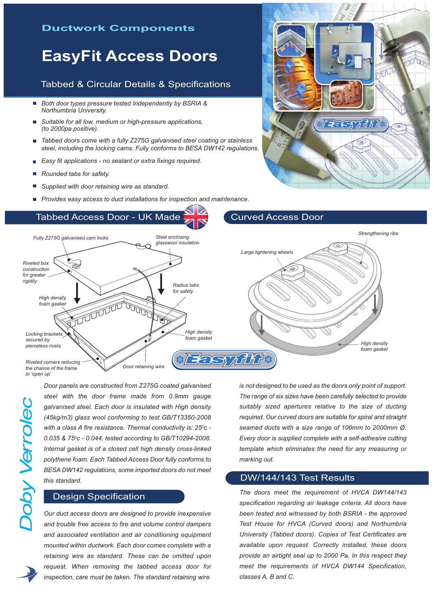### **Ductwork Components**

# **EasyFit Access Doors**

### Tabbed & Circular Details & Specifications

- $\overline{\phantom{a}}$ *Both door types pressure tested Independently by BSRIA & Northumbria University.*
- *Suitable for all low, medium or high-pressure applications, (to 2000pa positive).*
- $\blacksquare$ *Tabbed doors come with a fully Z275G galvanised steel coating or stainless steel, including the locking cams. Fully conforms to BESA DW142 regulations.*
- *Easy fit applications - no sealant or extra fixings required.*  $\overline{\phantom{a}}$
- *Rounded tabs for safety.*
- *Supplied with door retaining wire as standard.*
- *Provides easy access to duct installations for inspection and maintenance.*

### Tabbed Access Door - UK Made



*to 'open up'*

*D*

*oby*

*Verrole*

<u>ب</u>

*Door panels are constructed from Z275G coated galvanised steel with the door frame made from 0.9mm gauge galvanised steel. Each door is insulated with High density (45kg/m3) glass wool conforming to test GB/T13350-2008 with a class A fire resistance. Thermal conductivity is: 25oc - 0.035 & 75oc - 0.044, tested according to GB/T10294-2008. Internal gasket is of a closed cell high density cross-linked polythene foam. Each Tabbed Access Door fully conforms to BESA DW142 regulations, some imported doors do not meet this standard.*

#### Design Specification

*Our duct access doors are designed to provide inexpensive and trouble free access to fire and volume control dampers and associated ventilation and air conditioning equipment mounted within ductwork. Each door comes complete with a retaining wire as standard. These can be omitted upon request. When removing the tabbed access door for inspection, care must be taken. The standard retaining wire*

*is not designed to be used as the doors only point of support. The range of six sizes have been carefully selected to provide suitably sized apertures relative to the size of ducting required. Our curved doors are suitable for spiral and straight seamed ducts with a size range of 100mm to 2000mm Ø. Every door is supplied complete with a self-adhesive cutting template which eliminates the need for any measuring or marking out.*

### DW/144/143 Test Results

Curved Access Door

*The doors meet the requirement of HVCA DW144/143 specification regarding air leakage criteria. All doors have been tested and witnessed by both BSRIA - the approved Test House for HVCA (Curved doors) and Northumbria University (Tabbed doors). Copies of Test Certificates are available upon request. Correctly installed, these doors provide an airtight seal up to 2000 Pa. In this respect they meet the requirements of HVCA DW144 Specification, classes A, B and C.*

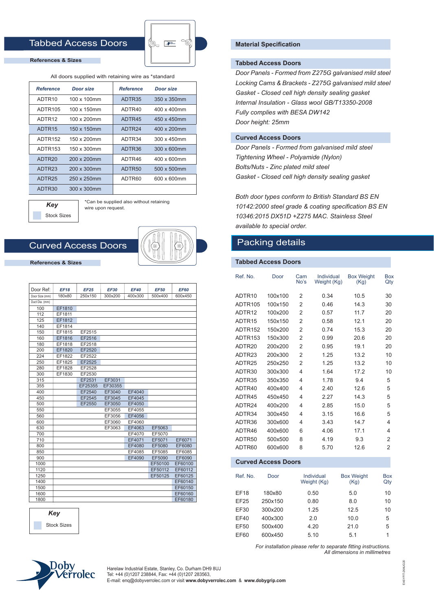### Tabbed Access Doors



#### **References & Sizes**

#### All doors supplied with retaining wire as \*standard

| <b>Reference</b>    | Door size   |        | Door size   |  |
|---------------------|-------------|--------|-------------|--|
| ADTR <sub>10</sub>  | 100 x 100mm | ADTR35 | 350 x 350mm |  |
| ADTR <sub>105</sub> | 100 x 150mm | ADTR40 | 400 x 400mm |  |
| ADTR <sub>12</sub>  | 100 x 200mm | ADTR45 | 450 x 450mm |  |
| ADTR <sub>15</sub>  | 150 x 150mm | ADTR24 | 400 x 200mm |  |
| ADTR <sub>152</sub> | 150 x 200mm | ADTR34 | 300 x 450mm |  |
| ADTR153             | 150 x 300mm | ADTR36 | 300 x 600mm |  |
| ADTR <sub>20</sub>  | 200 x 200mm | ADTR46 | 400 x 600mm |  |
| ADTR23              | 200 x 300mm | ADTR50 | 500 x 500mm |  |
| ADTR25              | 250 x 250mm | ADTR60 | 600 x 600mm |  |
| ADTR30              | 300 x 300mm |        |             |  |

*Key* Stock Sizes \*Can be supplied also without retaining wire upon request.

### Curved Access Doors



**References & Sizes**

| Door Ref:      | <b>EF18</b> | <b>EF25</b> | <b>EF30</b> | <b>EF40</b> | <b>EF50</b> | <b>EF60</b> |
|----------------|-------------|-------------|-------------|-------------|-------------|-------------|
| Door Size (mm) | 180x80      | 250x150     | 300x200     | 400x300     | 500x400     | 600x450     |
| Duct Dia. (mm) |             |             |             |             |             |             |
| 100            | EF1810      |             |             |             |             |             |
| 112            | EF1811      |             |             |             |             |             |
| 125            | EF1812      |             |             |             |             |             |
| 140            | EF1814      |             |             |             |             |             |
| 150            | EF1815      | EF2515      |             |             |             |             |
| 160            | EF1816      | EF2516      |             |             |             |             |
| 180            | EF1818      | EF2518      |             |             |             |             |
| 200            | EF1820      | EF2520      |             |             |             |             |
| 224            | EF1822      | EF2522      |             |             |             |             |
| 250            | EF1825      | EF2525      |             |             |             |             |
| 280            | EF1828      | EF2528      |             |             |             |             |
| 300            | EF1830      | EF2530      |             |             |             |             |
| 315            |             | EF2531      | EF3031      |             |             |             |
| 355            |             | EF25355     | EF30355     |             |             |             |
| 400            |             | EF2540      | EF3040      | EF4040      |             |             |
| 450            |             | EF2545      | EF3045      | EF4045      |             |             |
| 500            |             | EF2550      | EF3050      | EF4050      |             |             |
| 550            |             |             | EF3055      | EF4055      |             |             |
| 560            |             |             | EF3056      | EF4056      |             |             |
| 600            |             |             | EF3060      | EF4060      |             |             |
| 630            |             |             | EF3063      | EF4063      | EF5063      |             |
| 700            |             |             |             | EF4070      | EF5070      |             |
| 710            |             |             |             | EF4071      | EF5071      | EF6071      |
| 800            |             |             |             | EF4080      | EF5080      | EF6080      |
| 850            |             |             |             | EF4085      | EF5085      | EF6085      |
| 900            |             |             |             | EF4090      | EF5090      | EF6090      |
| 1000           |             |             |             |             | EF50100     | EF60100     |
| 1120           |             |             |             |             | EF50112     | EF60112     |
| 1250           |             |             |             |             | EF50125     | EF60125     |
| 1400           |             |             |             |             |             | EF60140     |
| 1500           |             |             |             |             |             | EF60150     |
| 1600           |             |             |             |             |             | EF60160     |
| 1800           |             |             |             |             |             | EF60180     |



#### **Material Specification**

#### **Tabbed Access Doors**

*Door Panels - Formed from Z275G galvanised mild steel Locking Cams & Brackets - Z275G galvanised mild steel Gasket - Closed cell high density sealing gasket Internal Insulation - Glass wool GB/T13350-2008 Fully complies with BESA DW142 Door height: 25mm*

#### **Curved Access Doors**

*Door Panels - Formed from galvanised mild steel Tightening Wheel - Polyamide (Nylon) Bolts/Nuts - Zinc plated mild steel Gasket - Closed cell high density sealing gasket*

*Both door types conform to British Standard BS EN 10142:2000 steel grade & coating specification BS EN 10346:2015 DX51D +Z275 MAC. Stainless Steel available to special order.*

#### Packing details

#### **Tabbed Access Doors**

| Ref. No.            | Door    | Cam<br>No's    | Individual<br>Weight (Kg) | <b>Box Weight</b><br>(Kg) | Box<br>Qty     |
|---------------------|---------|----------------|---------------------------|---------------------------|----------------|
| ADTR <sub>10</sub>  | 100x100 | 2              | 0.34                      | 10.5                      | 30             |
| ADTR <sub>105</sub> | 100x150 | 2              | 0.46                      | 14.3                      | 30             |
| ADTR <sub>12</sub>  | 100x200 | 2              | 0.57                      | 11.7                      | 20             |
| ADTR <sub>15</sub>  | 150x150 | $\overline{2}$ | 0.58                      | 12.1                      | 20             |
| ADTR152             | 150x200 | $\overline{2}$ | 0.74                      | 15.3                      | 20             |
| ADTR <sub>153</sub> | 150x300 | 2              | 0.99                      | 20.6                      | 20             |
| ADTR <sub>20</sub>  | 200x200 | $\overline{2}$ | 0.95                      | 19.1                      | 20             |
| ADTR23              | 200x300 | $\overline{2}$ | 1.25                      | 13.2                      | 10             |
| ADTR25              | 250x250 | $\overline{2}$ | 1.25                      | 13.2                      | 10             |
| ADTR30              | 300x300 | 4              | 1.64                      | 17.2                      | 10             |
| ADTR35              | 350x350 | 4              | 1.78                      | 9.4                       | 5              |
| ADTR40              | 400x400 | 4              | 2.40                      | 12.6                      | 5              |
| ADTR45              | 450x450 | 4              | 2.27                      | 14.3                      | 5              |
| ADTR24              | 400x200 | 4              | 2.85                      | 15.0                      | 5              |
| ADTR34              | 300x450 | 4              | 3.15                      | 16.6                      | 5              |
| ADTR36              | 300x600 | 4              | 3.43                      | 14.7                      | 4              |
| ADTR46              | 400x600 | 6              | 4.06                      | 17.1                      | 4              |
| ADTR50              | 500x500 | 8              | 4.19                      | 9.3                       | $\overline{2}$ |
| ADTR60              | 600x600 | 8              | 5.70                      | 12.6                      | $\overline{2}$ |
|                     |         |                |                           |                           |                |

#### **Curved Access Doors**

| Ref. No.    | Door    | Individual<br>Weight (Kg) | <b>Box Weight</b><br>(Kg) | Box<br>Qty |
|-------------|---------|---------------------------|---------------------------|------------|
| <b>EF18</b> | 180x80  | 0.50                      | 5.0                       | 10         |
| EF25        | 250x150 | 0.80                      | 8.0                       | 10         |
| EF30        | 300x200 | 1.25                      | 12.5                      | 10         |
| <b>EF40</b> | 400x300 | 2.0                       | 10.0                      | 5          |
| EF50        | 500x400 | 4.20                      | 21.0                      | 5          |
| EF60        | 600x450 | 5.10                      | 5.1                       | 1          |

*For installation please refer to separate fitting instructions. All dimensions in millimetres*

EASYFIT-26AUG20

EASYFIT-26AUG20